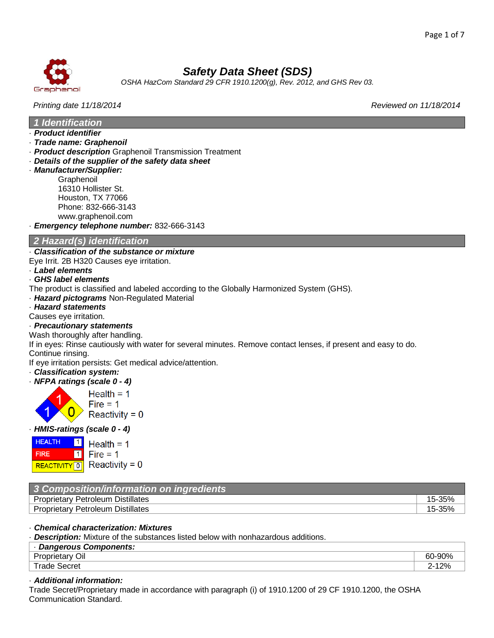

*OSHA HazCom Standard 29 CFR 1910.1200(g), Rev. 2012, and GHS Rev 03.*

# *Printing date 11/18/2014 Reviewed on 11/18/2014*

*1 Identification*

- · *Product identifier*
- · *Trade name: Graphenoil*
- · *Product description* Graphenoil Transmission Treatment
- · *Details of the supplier of the safety data sheet*
- · *Manufacturer/Supplier:* **Graphenoil** 16310 Hollister St. Houston, TX 77066 Phone: 832-666-3143

www.graphenoil.com

· *Emergency telephone number:* 832-666-3143

# *2 Hazard(s) identification*

# · *Classification of the substance or mixture*

Eye Irrit. 2B H320 Causes eye irritation.

· *Label elements*

# · *GHS label elements*

- The product is classified and labeled according to the Globally Harmonized System (GHS).
- · *Hazard pictograms* Non-Regulated Material
- · *Hazard statements*
- Causes eye irritation.
- · *Precautionary statements*

Wash thoroughly after handling.

If in eyes: Rinse cautiously with water for several minutes. Remove contact lenses, if present and easy to do. Continue rinsing.

If eye irritation persists: Get medical advice/attention.

- · *Classification system:*
- · *NFPA ratings (scale 0 - 4)*



Health =  $1$  $Fire = 1$ Reactivity =  $0$ 

### · *HMIS-ratings (scale 0 - 4)*



Health =  $1$ Fire =  $1$ 

| 3 Composition/information on ingredients |        |
|------------------------------------------|--------|
| <b>Proprietary Petroleum Distillates</b> |        |
| <b>Proprietary Petroleum Distillates</b> | 15-35% |

### · *Chemical characterization: Mixtures*

· *Description:* Mixture of the substances listed below with nonhazardous additions.

| <b>Dangerous Components:</b> |                              |
|------------------------------|------------------------------|
| $\sim$<br>∽<br>Οıl<br>.      | 0∩0.<br>-60<br>-ઝા           |
| ane. .<br>Secret             | 20/<br>− ہ ⁄'∠ ،<br><u>_</u> |

# · *Additional information:*

Trade Secret/Proprietary made in accordance with paragraph (i) of 1910.1200 of 29 CF 1910.1200, the OSHA Communication Standard.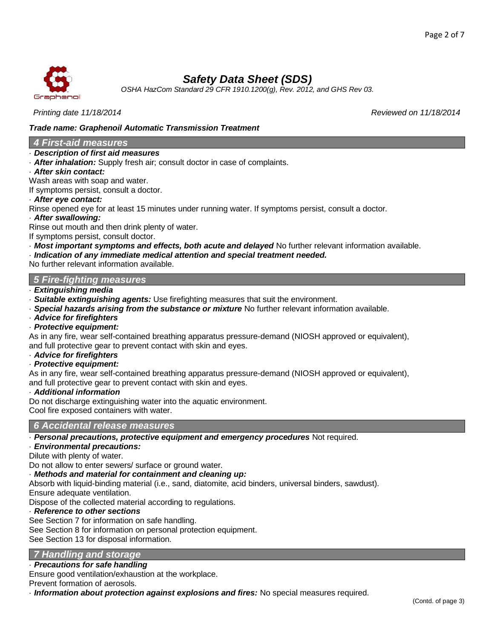

*OSHA HazCom Standard 29 CFR 1910.1200(g), Rev. 2012, and GHS Rev 03.*

### *Printing date 11/18/2014 Reviewed on 11/18/2014*

# *Trade name: Graphenoil Automatic Transmission Treatment*

## *4 First-aid measures*

### · *Description of first aid measures*

· *After inhalation:* Supply fresh air; consult doctor in case of complaints.

### · *After skin contact:*

Wash areas with soap and water.

If symptoms persist, consult a doctor.

### · *After eye contact:*

Rinse opened eye for at least 15 minutes under running water. If symptoms persist, consult a doctor.

· *After swallowing:*

Rinse out mouth and then drink plenty of water.

If symptoms persist, consult doctor.

· *Most important symptoms and effects, both acute and delayed* No further relevant information available.

# · *Indication of any immediate medical attention and special treatment needed.*

No further relevant information available.

# *5 Fire-fighting measures*

- · *Extinguishing media*
- · *Suitable extinguishing agents:* Use firefighting measures that suit the environment.
- · *Special hazards arising from the substance or mixture* No further relevant information available.
- · *Advice for firefighters*
- · *Protective equipment:*

As in any fire, wear self-contained breathing apparatus pressure-demand (NIOSH approved or equivalent), and full protective gear to prevent contact with skin and eyes.

· *Advice for firefighters*

### · *Protective equipment:*

As in any fire, wear self-contained breathing apparatus pressure-demand (NIOSH approved or equivalent), and full protective gear to prevent contact with skin and eyes.

### · *Additional information*

Do not discharge extinguishing water into the aquatic environment. Cool fire exposed containers with water.

# *6 Accidental release measures*

· *Personal precautions, protective equipment and emergency procedures* Not required.

## · *Environmental precautions:*

Dilute with plenty of water.

Do not allow to enter sewers/ surface or ground water.

· *Methods and material for containment and cleaning up:*

Absorb with liquid-binding material (i.e., sand, diatomite, acid binders, universal binders, sawdust). Ensure adequate ventilation.

Dispose of the collected material according to regulations.

### · *Reference to other sections*

See Section 7 for information on safe handling.

See Section 8 for information on personal protection equipment.

See Section 13 for disposal information.

### *7 Handling and storage*

### · *Precautions for safe handling*

Ensure good ventilation/exhaustion at the workplace.

Prevent formation of aerosols.

· *Information about protection against explosions and fires:* No special measures required.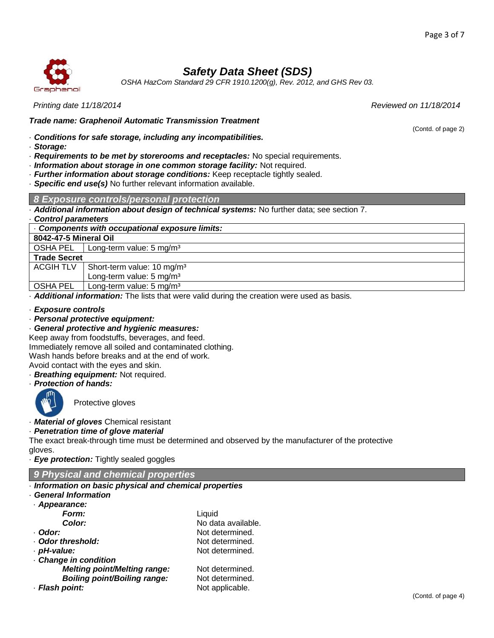

*OSHA HazCom Standard 29 CFR 1910.1200(g), Rev. 2012, and GHS Rev 03.*

## *Printing date 11/18/2014 Reviewed on 11/18/2014*

*Trade name: Graphenoil Automatic Transmission Treatment*

· *Conditions for safe storage, including any incompatibilities.*

- · *Storage:*
- · *Requirements to be met by storerooms and receptacles:* No special requirements.
- · *Information about storage in one common storage facility:* Not required.
- · *Further information about storage conditions:* Keep receptacle tightly sealed.
- · *Specific end use(s)* No further relevant information available.

### *8 Exposure controls/personal protection*

· *Additional information about design of technical systems:* No further data; see section 7.

### · *Control parameters*

· *Components with occupational exposure limits:*

### **8042-47-5 Mineral Oil**

OSHA PEL | Long-term value: 5 mg/m<sup>3</sup>

**Trade Secret**

ACGIH TLV | Short-term value: 10 mg/m<sup>3</sup>

Long-term value: 5 mg/m<sup>3</sup>

OSHA PEL | Long-term value: 5 mg/m<sup>3</sup>

· *Additional information:* The lists that were valid during the creation were used as basis.

### · *Exposure controls*

· *Personal protective equipment:*

· *General protective and hygienic measures:*

Keep away from foodstuffs, beverages, and feed.

Immediately remove all soiled and contaminated clothing.

Wash hands before breaks and at the end of work.

Avoid contact with the eyes and skin.

- · *Breathing equipment:* Not required.
- · *Protection of hands:*



Protective gloves

· *Material of gloves* Chemical resistant

# · *Penetration time of glove material*

The exact break-through time must be determined and observed by the manufacturer of the protective gloves.

· *Eye protection:* Tightly sealed goggles

# *9 Physical and chemical properties*

# · *Information on basic physical and chemical properties*

- · *General Information*
- · *Appearance: Form:* Liquid
	-
- 
- 
- · *Change in condition*
	- *Melting point/Melting range:* Not determined.
	- **Boiling point/Boiling range:** Not determined.
- · **Flash point:** Not applicable.
- **Color:** No data available. · *Odor:* Not determined. · **Odor threshold:** Not determined. · *pH-value:* Not determined.
	-

(Contd. of page 2)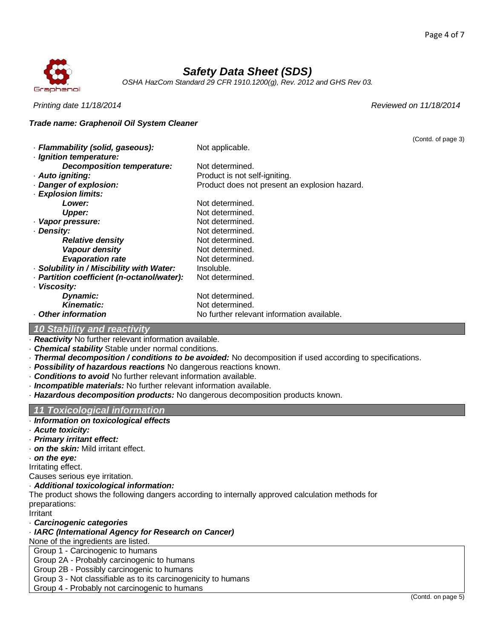

*OSHA HazCom Standard 29 CFR 1910.1200(g), Rev. 2012 and GHS Rev 03.*

### *Printing date 11/18/2014 Reviewed on 11/18/2014*

### *Trade name: Graphenoil Oil System Cleaner*

| Not applicable.<br>· Ignition temperature:<br><b>Decomposition temperature:</b><br>Not determined.<br>· Auto igniting:<br>Product is not self-igniting.<br>Danger of explosion:<br>Product does not present an explosion hazard.<br>· Explosion limits:<br>Not determined.<br>Lower:<br>Not determined.<br>Upper:<br>Not determined.<br>· Vapor pressure:<br>Not determined.<br>Density:<br>Not determined.<br><b>Relative density</b><br>Vapour density<br>Not determined.<br><b>Evaporation rate</b><br>Not determined.<br>· Solubility in / Miscibility with Water:<br>Insoluble.<br>- Partition coefficient (n-octanol/water):<br>Not determined.<br>· Viscosity:<br>Not determined.<br><b>Dynamic:</b><br><b>Kinematic:</b><br>Not determined.<br>Other information<br>No further relevant information available. |                                  | (Contd. of page 3) |
|------------------------------------------------------------------------------------------------------------------------------------------------------------------------------------------------------------------------------------------------------------------------------------------------------------------------------------------------------------------------------------------------------------------------------------------------------------------------------------------------------------------------------------------------------------------------------------------------------------------------------------------------------------------------------------------------------------------------------------------------------------------------------------------------------------------------|----------------------------------|--------------------|
|                                                                                                                                                                                                                                                                                                                                                                                                                                                                                                                                                                                                                                                                                                                                                                                                                        | · Flammability (solid, gaseous): |                    |
|                                                                                                                                                                                                                                                                                                                                                                                                                                                                                                                                                                                                                                                                                                                                                                                                                        |                                  |                    |
|                                                                                                                                                                                                                                                                                                                                                                                                                                                                                                                                                                                                                                                                                                                                                                                                                        |                                  |                    |
|                                                                                                                                                                                                                                                                                                                                                                                                                                                                                                                                                                                                                                                                                                                                                                                                                        |                                  |                    |
|                                                                                                                                                                                                                                                                                                                                                                                                                                                                                                                                                                                                                                                                                                                                                                                                                        |                                  |                    |
|                                                                                                                                                                                                                                                                                                                                                                                                                                                                                                                                                                                                                                                                                                                                                                                                                        |                                  |                    |
|                                                                                                                                                                                                                                                                                                                                                                                                                                                                                                                                                                                                                                                                                                                                                                                                                        |                                  |                    |
|                                                                                                                                                                                                                                                                                                                                                                                                                                                                                                                                                                                                                                                                                                                                                                                                                        |                                  |                    |
|                                                                                                                                                                                                                                                                                                                                                                                                                                                                                                                                                                                                                                                                                                                                                                                                                        |                                  |                    |
|                                                                                                                                                                                                                                                                                                                                                                                                                                                                                                                                                                                                                                                                                                                                                                                                                        |                                  |                    |
|                                                                                                                                                                                                                                                                                                                                                                                                                                                                                                                                                                                                                                                                                                                                                                                                                        |                                  |                    |
|                                                                                                                                                                                                                                                                                                                                                                                                                                                                                                                                                                                                                                                                                                                                                                                                                        |                                  |                    |
|                                                                                                                                                                                                                                                                                                                                                                                                                                                                                                                                                                                                                                                                                                                                                                                                                        |                                  |                    |
|                                                                                                                                                                                                                                                                                                                                                                                                                                                                                                                                                                                                                                                                                                                                                                                                                        |                                  |                    |
|                                                                                                                                                                                                                                                                                                                                                                                                                                                                                                                                                                                                                                                                                                                                                                                                                        |                                  |                    |
|                                                                                                                                                                                                                                                                                                                                                                                                                                                                                                                                                                                                                                                                                                                                                                                                                        |                                  |                    |
|                                                                                                                                                                                                                                                                                                                                                                                                                                                                                                                                                                                                                                                                                                                                                                                                                        |                                  |                    |
|                                                                                                                                                                                                                                                                                                                                                                                                                                                                                                                                                                                                                                                                                                                                                                                                                        |                                  |                    |
|                                                                                                                                                                                                                                                                                                                                                                                                                                                                                                                                                                                                                                                                                                                                                                                                                        |                                  |                    |

# *10 Stability and reactivity*

· *Reactivity* No further relevant information available.

- · *Chemical stability* Stable under normal conditions.
- · *Thermal decomposition / conditions to be avoided:* No decomposition if used according to specifications.
- · *Possibility of hazardous reactions* No dangerous reactions known.
- · *Conditions to avoid* No further relevant information available.
- · *Incompatible materials:* No further relevant information available.
- · *Hazardous decomposition products:* No dangerous decomposition products known.

# *11 Toxicological information*

- · *Information on toxicological effects*
- · *Acute toxicity:*
- · *Primary irritant effect:*
- · *on the skin:* Mild irritant effect.
- · *on the eye:*

Irritating effect.

Causes serious eye irritation.

### · *Additional toxicological information:*

The product shows the following dangers according to internally approved calculation methods for preparations:

Irritant

### · *Carcinogenic categories*

### · *IARC (International Agency for Research on Cancer)*

None of the ingredients are listed.

Group 1 - Carcinogenic to humans

Group 2A - Probably carcinogenic to humans

Group 2B - Possibly carcinogenic to humans

Group 3 - Not classifiable as to its carcinogenicity to humans

Group 4 - Probably not carcinogenic to humans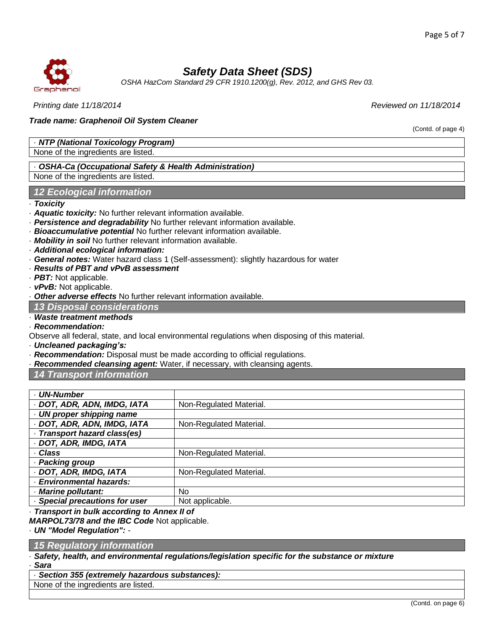(Contd. of page 4)



# *Safety Data Sheet (SDS)*

*OSHA HazCom Standard 29 CFR 1910.1200(g), Rev. 2012, and GHS Rev 03.*

*Printing date 11/18/2014 Reviewed on 11/18/2014*

### *Trade name: Graphenoil Oil System Cleaner*

· *NTP (National Toxicology Program)*

None of the ingredients are listed.

# · *OSHA-Ca (Occupational Safety & Health Administration)*

None of the ingredients are listed.

# *12 Ecological information*

· *Toxicity*

- · *Aquatic toxicity:* No further relevant information available.
- · *Persistence and degradability* No further relevant information available.
- · *Bioaccumulative potential* No further relevant information available.
- · *Mobility in soil* No further relevant information available.
- · *Additional ecological information:*
- · *General notes:* Water hazard class 1 (Self-assessment): slightly hazardous for water
- · *Results of PBT and vPvB assessment*
- · *PBT:* Not applicable.
- · *vPvB:* Not applicable.

· *Other adverse effects* No further relevant information available.

*13 Disposal considerations*

· *Waste treatment methods*

· *Recommendation:*

Observe all federal, state, and local environmental regulations when disposing of this material.

· *Uncleaned packaging's:*

- · *Recommendation:* Disposal must be made according to official regulations.
- · *Recommended cleansing agent:* Water, if necessary, with cleansing agents.

*14 Transport information*

| - UN-Number                                 |                         |  |
|---------------------------------------------|-------------------------|--|
| · DOT, ADR, ADN, IMDG, IATA                 | Non-Regulated Material. |  |
| · UN proper shipping name                   |                         |  |
| · DOT, ADR, ADN, IMDG, IATA                 | Non-Regulated Material. |  |
| · Transport hazard class(es)                |                         |  |
| · DOT, ADR, IMDG, IATA                      |                         |  |
| · Class                                     | Non-Regulated Material. |  |
| · Packing group                             |                         |  |
| · DOT, ADR, IMDG, IATA                      | Non-Regulated Material. |  |
| · Environmental hazards:                    |                         |  |
| · Marine pollutant:                         | No                      |  |
| · Special precautions for user              | Not applicable.         |  |
| Trononort in bulle occarding to Annoy II of |                         |  |

· *Transport in bulk according to Annex II of*

*MARPOL73/78 and the IBC Code* Not applicable.

· *UN "Model Regulation": -*

# *15 Regulatory information*

· *Safety, health, and environmental regulations/legislation specific for the substance or mixture* · *Sara*

· *Section 355 (extremely hazardous substances):*

None of the ingredients are listed.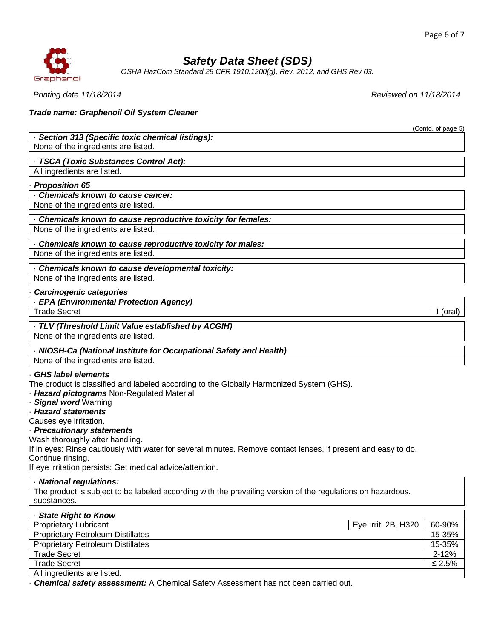(Contd. of page 5)



# *Safety Data Sheet (SDS)*

*OSHA HazCom Standard 29 CFR 1910.1200(g), Rev. 2012, and GHS Rev 03.*

*Printing date 11/18/2014 Reviewed on 11/18/2014*

### *Trade name: Graphenoil Oil System Cleaner*

### · *Section 313 (Specific toxic chemical listings):*

None of the ingredients are listed.

· *TSCA (Toxic Substances Control Act):* All ingredients are listed.

# · *Proposition 65*

· *Chemicals known to cause cancer:*

None of the ingredients are listed.

· *Chemicals known to cause reproductive toxicity for females:* None of the ingredients are listed.

· *Chemicals known to cause reproductive toxicity for males:* None of the ingredients are listed.

· *Chemicals known to cause developmental toxicity:* None of the ingredients are listed.

#### · *Carcinogenic categories*

· *EPA (Environmental Protection Agency)*

Trade Secret I (oral)

· *TLV (Threshold Limit Value established by ACGIH)*

None of the ingredients are listed.

· *NIOSH-Ca (National Institute for Occupational Safety and Health)*

None of the ingredients are listed.

### · *GHS label elements*

The product is classified and labeled according to the Globally Harmonized System (GHS).

· *Hazard pictograms* Non-Regulated Material

- · *Signal word* Warning
- · *Hazard statements*

Causes eye irritation.

· *Precautionary statements*

Wash thoroughly after handling.

If in eyes: Rinse cautiously with water for several minutes. Remove contact lenses, if present and easy to do. Continue rinsing.

If eye irritation persists: Get medical advice/attention.

### · *National regulations:*

The product is subject to be labeled according with the prevailing version of the regulations on hazardous. substances.

| - State Right to Know                    |                     |              |
|------------------------------------------|---------------------|--------------|
| <b>Proprietary Lubricant</b>             | Eye Irrit. 2B, H320 | 60-90%       |
| <b>Proprietary Petroleum Distillates</b> |                     | 15-35%       |
| <b>Proprietary Petroleum Distillates</b> |                     | 15-35%       |
| <b>Trade Secret</b>                      |                     | $2 - 12%$    |
| <b>Trade Secret</b>                      |                     | $\leq 2.5\%$ |
| All ingredients are listed.              |                     |              |

· *Chemical safety assessment:* A Chemical Safety Assessment has not been carried out.